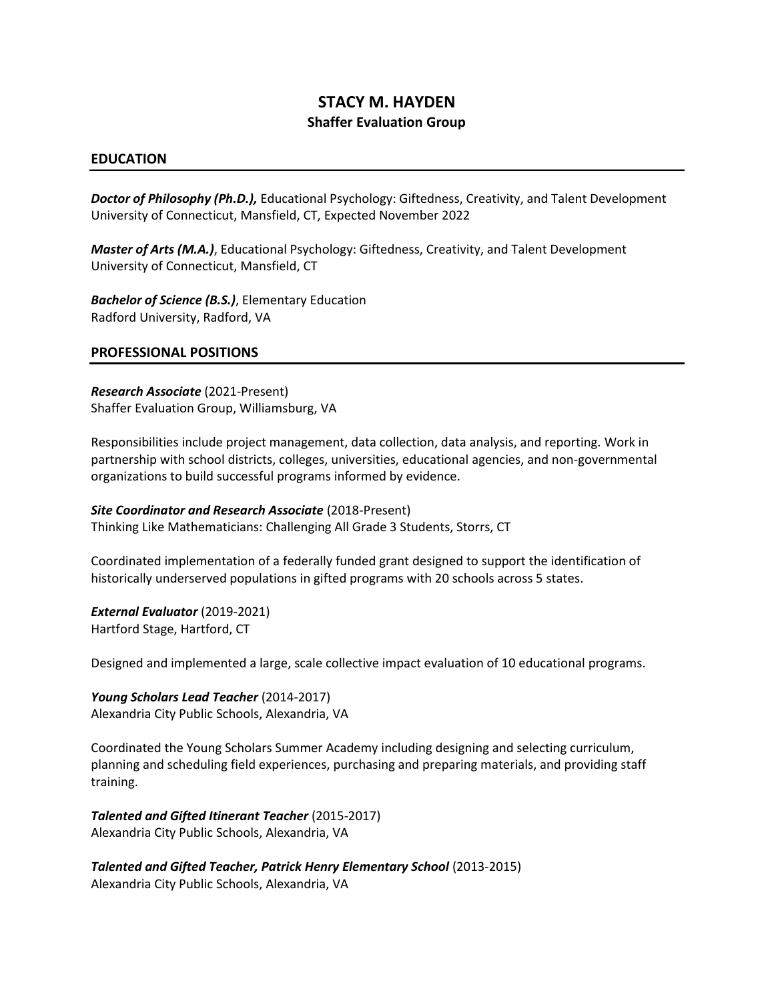# **STACY M. HAYDEN Shaffer Evaluation Group**

#### **EDUCATION**

*Doctor of Philosophy (Ph.D.),* Educational Psychology: Giftedness, Creativity, and Talent Development University of Connecticut, Mansfield, CT, Expected November 2022

*Master of Arts (M.A.)*, Educational Psychology: Giftedness, Creativity, and Talent Development University of Connecticut, Mansfield, CT

*Bachelor of Science (B.S.)*, Elementary Education Radford University, Radford, VA

#### **PROFESSIONAL POSITIONS**

*Research Associate* (2021-Present) Shaffer Evaluation Group, Williamsburg, VA

Responsibilities include project management, data collection, data analysis, and reporting. Work in partnership with school districts, colleges, universities, educational agencies, and non-governmental organizations to build successful programs informed by evidence.

*Site Coordinator and Research Associate* (2018-Present) Thinking Like Mathematicians: Challenging All Grade 3 Students, Storrs, CT

Coordinated implementation of a federally funded grant designed to support the identification of historically underserved populations in gifted programs with 20 schools across 5 states.

*External Evaluator* (2019-2021) Hartford Stage, Hartford, CT

Designed and implemented a large, scale collective impact evaluation of 10 educational programs.

*Young Scholars Lead Teacher* (2014-2017) Alexandria City Public Schools, Alexandria, VA

Coordinated the Young Scholars Summer Academy including designing and selecting curriculum, planning and scheduling field experiences, purchasing and preparing materials, and providing staff training.

*Talented and Gifted Itinerant Teacher* (2015-2017) Alexandria City Public Schools, Alexandria, VA

*Talented and Gifted Teacher, Patrick Henry Elementary School* (2013-2015) Alexandria City Public Schools, Alexandria, VA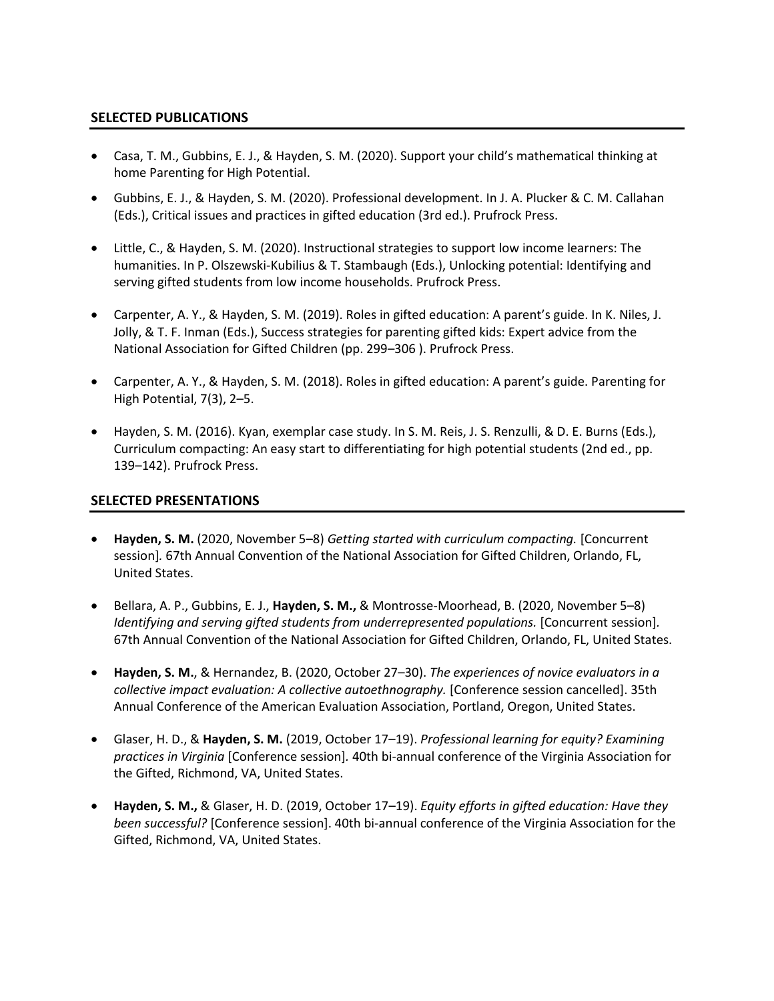## **SELECTED PUBLICATIONS**

- Casa, T. M., Gubbins, E. J., & Hayden, S. M. (2020). Support your child's mathematical thinking at home Parenting for High Potential.
- Gubbins, E. J., & Hayden, S. M. (2020). Professional development. In J. A. Plucker & C. M. Callahan (Eds.), Critical issues and practices in gifted education (3rd ed.). Prufrock Press.
- Little, C., & Hayden, S. M. (2020). Instructional strategies to support low income learners: The humanities. In P. Olszewski-Kubilius & T. Stambaugh (Eds.), Unlocking potential: Identifying and serving gifted students from low income households. Prufrock Press.
- Carpenter, A. Y., & Hayden, S. M. (2019). Roles in gifted education: A parent's guide. In K. Niles, J. Jolly, & T. F. Inman (Eds.), Success strategies for parenting gifted kids: Expert advice from the National Association for Gifted Children (pp. 299–306 ). Prufrock Press.
- Carpenter, A. Y., & Hayden, S. M. (2018). Roles in gifted education: A parent's guide. Parenting for High Potential, 7(3), 2–5.
- Hayden, S. M. (2016). Kyan, exemplar case study. In S. M. Reis, J. S. Renzulli, & D. E. Burns (Eds.), Curriculum compacting: An easy start to differentiating for high potential students (2nd ed., pp. 139–142). Prufrock Press.

### **SELECTED PRESENTATIONS**

- **Hayden, S. M.** (2020, November 5–8) *Getting started with curriculum compacting.* [Concurrent session]*.* 67th Annual Convention of the National Association for Gifted Children, Orlando, FL, United States.
- Bellara, A. P., Gubbins, E. J., **Hayden, S. M.,** & Montrosse-Moorhead, B. (2020, November 5–8) *Identifying and serving gifted students from underrepresented populations.* [Concurrent session]. 67th Annual Convention of the National Association for Gifted Children, Orlando, FL, United States.
- **Hayden, S. M.**, & Hernandez, B. (2020, October 27–30). *The experiences of novice evaluators in a collective impact evaluation: A collective autoethnography.* [Conference session cancelled]. 35th Annual Conference of the American Evaluation Association, Portland, Oregon, United States.
- Glaser, H. D., & **Hayden, S. M.** (2019, October 17–19). *Professional learning for equity? Examining practices in Virginia* [Conference session]*.* 40th bi-annual conference of the Virginia Association for the Gifted, Richmond, VA, United States.
- **Hayden, S. M.,** & Glaser, H. D. (2019, October 17–19). *Equity efforts in gifted education: Have they been successful?* [Conference session]. 40th bi-annual conference of the Virginia Association for the Gifted, Richmond, VA, United States.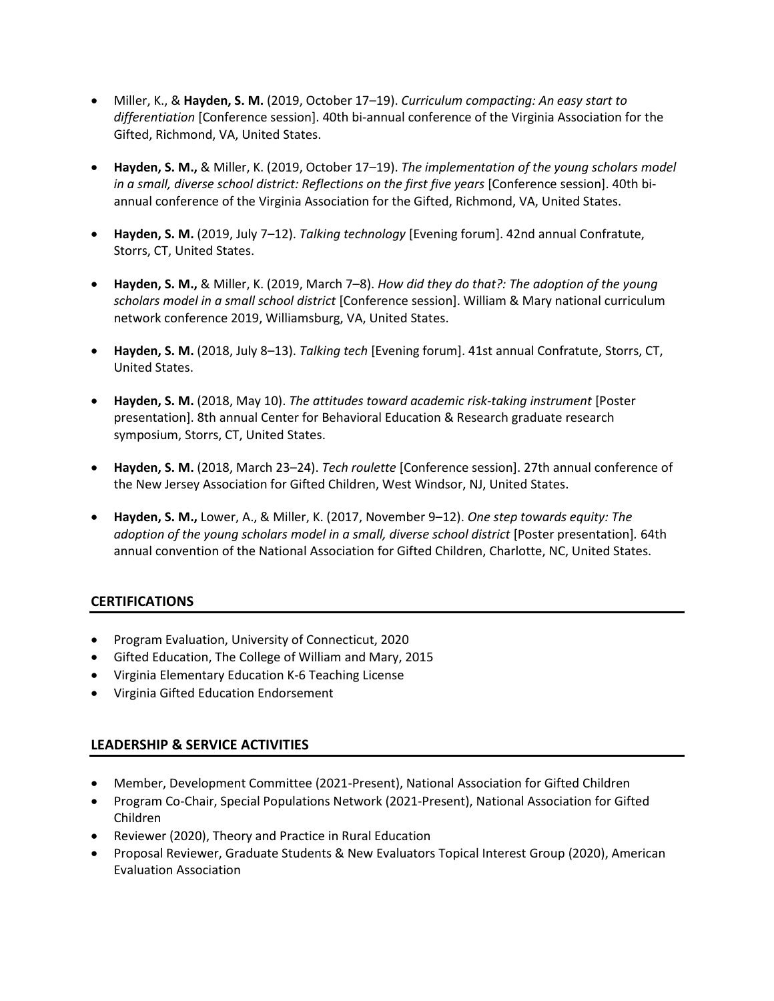- Miller, K., & **Hayden, S. M.** (2019, October 17–19). *Curriculum compacting: An easy start to differentiation* [Conference session]. 40th bi-annual conference of the Virginia Association for the Gifted, Richmond, VA, United States.
- **Hayden, S. M.,** & Miller, K. (2019, October 17–19). *The implementation of the young scholars model in a small, diverse school district: Reflections on the first five years* [Conference session]. 40th biannual conference of the Virginia Association for the Gifted, Richmond, VA, United States.
- **Hayden, S. M.** (2019, July 7–12). *Talking technology* [Evening forum]. 42nd annual Confratute, Storrs, CT, United States.
- **Hayden, S. M.,** & Miller, K. (2019, March 7–8). *How did they do that?: The adoption of the young scholars model in a small school district* [Conference session]. William & Mary national curriculum network conference 2019, Williamsburg, VA, United States.
- **Hayden, S. M.** (2018, July 8–13). *Talking tech* [Evening forum]. 41st annual Confratute, Storrs, CT, United States.
- **Hayden, S. M.** (2018, May 10). *The attitudes toward academic risk-taking instrument* [Poster presentation]. 8th annual Center for Behavioral Education & Research graduate research symposium, Storrs, CT, United States.
- **Hayden, S. M.** (2018, March 23–24). *Tech roulette* [Conference session]. 27th annual conference of the New Jersey Association for Gifted Children, West Windsor, NJ, United States.
- **Hayden, S. M.,** Lower, A., & Miller, K. (2017, November 9–12). *One step towards equity: The adoption of the young scholars model in a small, diverse school district* [Poster presentation]*.* 64th annual convention of the National Association for Gifted Children, Charlotte, NC, United States.

# **CERTIFICATIONS**

- Program Evaluation, University of Connecticut, 2020
- Gifted Education, The College of William and Mary, 2015
- Virginia Elementary Education K-6 Teaching License
- Virginia Gifted Education Endorsement

# **LEADERSHIP & SERVICE ACTIVITIES**

- Member, Development Committee (2021-Present), National Association for Gifted Children
- Program Co-Chair, Special Populations Network (2021-Present), National Association for Gifted Children
- Reviewer (2020), Theory and Practice in Rural Education
- Proposal Reviewer, Graduate Students & New Evaluators Topical Interest Group (2020), American Evaluation Association